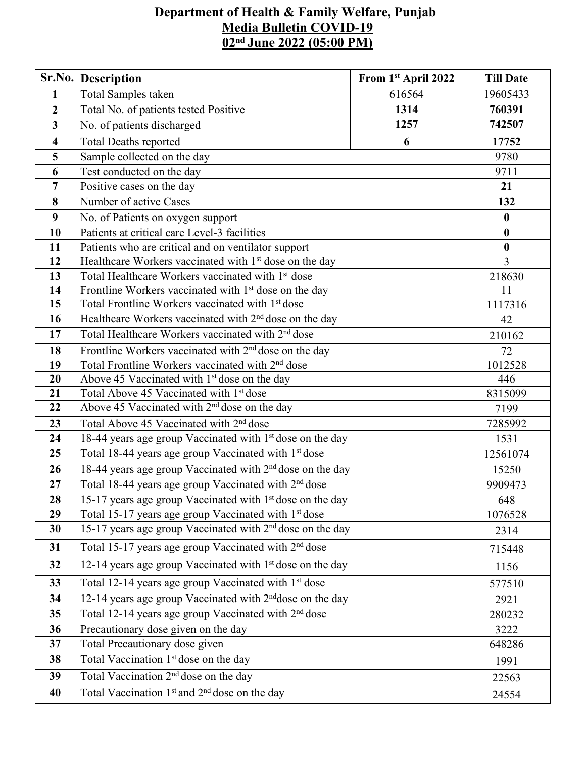## **Department of Health & Family Welfare, Punjab Media Bulletin COVID-19 02 nd June 2022 (05:00 PM)**

|                         | Sr.No. Description                                                    | From 1st April 2022 | <b>Till Date</b> |  |  |  |
|-------------------------|-----------------------------------------------------------------------|---------------------|------------------|--|--|--|
| $\mathbf{1}$            | Total Samples taken                                                   | 616564              | 19605433         |  |  |  |
| $\overline{2}$          | Total No. of patients tested Positive                                 | 1314                | 760391           |  |  |  |
| $\mathbf{3}$            | No. of patients discharged                                            | 1257                | 742507           |  |  |  |
| $\overline{\mathbf{4}}$ | <b>Total Deaths reported</b>                                          | 17752               |                  |  |  |  |
| 5                       | Sample collected on the day                                           |                     | 9780             |  |  |  |
| 6                       | Test conducted on the day                                             |                     |                  |  |  |  |
| 7                       | Positive cases on the day                                             |                     |                  |  |  |  |
| 8                       | Number of active Cases                                                |                     |                  |  |  |  |
| 9                       | No. of Patients on oxygen support                                     |                     |                  |  |  |  |
| 10                      | Patients at critical care Level-3 facilities                          |                     | $\bf{0}$         |  |  |  |
| 11                      | Patients who are critical and on ventilator support                   |                     | $\bf{0}$         |  |  |  |
| 12                      | Healthcare Workers vaccinated with 1 <sup>st</sup> dose on the day    |                     | 3                |  |  |  |
| 13                      | Total Healthcare Workers vaccinated with 1st dose                     | 218630              |                  |  |  |  |
| 14                      | Frontline Workers vaccinated with 1 <sup>st</sup> dose on the day     | 11                  |                  |  |  |  |
| 15                      | Total Frontline Workers vaccinated with 1 <sup>st</sup> dose          | 1117316             |                  |  |  |  |
| 16                      | Healthcare Workers vaccinated with 2 <sup>nd</sup> dose on the day    | 42                  |                  |  |  |  |
| 17                      | Total Healthcare Workers vaccinated with 2 <sup>nd</sup> dose         |                     |                  |  |  |  |
| 18                      | Frontline Workers vaccinated with 2 <sup>nd</sup> dose on the day     |                     |                  |  |  |  |
| 19                      | Total Frontline Workers vaccinated with 2 <sup>nd</sup> dose          |                     |                  |  |  |  |
| 20                      | Above 45 Vaccinated with 1 <sup>st</sup> dose on the day              |                     |                  |  |  |  |
| 21                      | Total Above 45 Vaccinated with 1 <sup>st</sup> dose                   |                     |                  |  |  |  |
| 22                      | Above 45 Vaccinated with 2 <sup>nd</sup> dose on the day              |                     |                  |  |  |  |
| 23                      | Total Above 45 Vaccinated with 2 <sup>nd</sup> dose                   |                     |                  |  |  |  |
| 24                      | 18-44 years age group Vaccinated with 1st dose on the day             |                     | 1531             |  |  |  |
| 25                      | Total 18-44 years age group Vaccinated with 1st dose                  | 12561074            |                  |  |  |  |
| 26                      | 18-44 years age group Vaccinated with 2 <sup>nd</sup> dose on the day | 15250               |                  |  |  |  |
| 27                      | Total 18-44 years age group Vaccinated with 2 <sup>nd</sup> dose      | 9909473             |                  |  |  |  |
| 28                      | 15-17 years age group Vaccinated with 1 <sup>st</sup> dose on the day | 648                 |                  |  |  |  |
| 29                      | Total 15-17 years age group Vaccinated with 1 <sup>st</sup> dose      | 1076528             |                  |  |  |  |
| 30                      | 15-17 years age group Vaccinated with 2 <sup>nd</sup> dose on the day | 2314                |                  |  |  |  |
| 31                      | Total 15-17 years age group Vaccinated with 2 <sup>nd</sup> dose      | 715448              |                  |  |  |  |
| 32                      | 12-14 years age group Vaccinated with 1 <sup>st</sup> dose on the day | 1156                |                  |  |  |  |
| 33                      | Total 12-14 years age group Vaccinated with 1 <sup>st</sup> dose      | 577510              |                  |  |  |  |
| 34                      | 12-14 years age group Vaccinated with 2 <sup>nd</sup> dose on the day | 2921                |                  |  |  |  |
| 35                      | Total 12-14 years age group Vaccinated with 2 <sup>nd</sup> dose      |                     |                  |  |  |  |
| 36                      | Precautionary dose given on the day                                   |                     |                  |  |  |  |
| 37                      | Total Precautionary dose given                                        |                     |                  |  |  |  |
| 38                      | Total Vaccination 1 <sup>st</sup> dose on the day                     |                     | 1991             |  |  |  |
| 39                      | Total Vaccination 2 <sup>nd</sup> dose on the day                     | 22563               |                  |  |  |  |
| 40                      | Total Vaccination 1 <sup>st</sup> and 2 <sup>nd</sup> dose on the day | 24554               |                  |  |  |  |
|                         |                                                                       |                     |                  |  |  |  |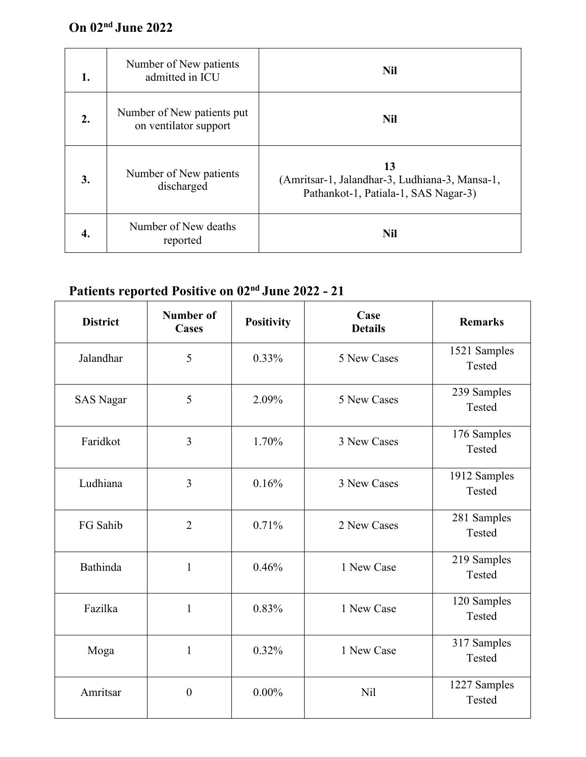## **On 02 nd June 2022**

| 1. | Number of New patients<br>admitted in ICU           | <b>Nil</b>                                                                                   |
|----|-----------------------------------------------------|----------------------------------------------------------------------------------------------|
| 2. | Number of New patients put<br>on ventilator support | <b>Nil</b>                                                                                   |
| 3. | Number of New patients<br>discharged                | 13<br>(Amritsar-1, Jalandhar-3, Ludhiana-3, Mansa-1,<br>Pathankot-1, Patiala-1, SAS Nagar-3) |
| 4. | Number of New deaths<br>reported                    | <b>Nil</b>                                                                                   |

## **Patients reported Positive on 02 nd June 2022 - 21**

| <b>District</b>  | <b>Number of</b><br><b>Cases</b> | <b>Positivity</b> | Case<br><b>Details</b> | <b>Remarks</b>         |  |
|------------------|----------------------------------|-------------------|------------------------|------------------------|--|
| Jalandhar        | 5                                | 0.33%             | 5 New Cases            | 1521 Samples<br>Tested |  |
| <b>SAS Nagar</b> | 5                                | 2.09%             | 5 New Cases            | 239 Samples<br>Tested  |  |
| Faridkot         | $\overline{\mathbf{3}}$          | 1.70%             | 3 New Cases            | 176 Samples<br>Tested  |  |
| Ludhiana         | $\overline{3}$                   | 0.16%             | 3 New Cases            | 1912 Samples<br>Tested |  |
| FG Sahib         | $\overline{2}$                   | 0.71%             | 2 New Cases            | 281 Samples<br>Tested  |  |
| Bathinda         | $\mathbf{1}$                     | 0.46%             | 1 New Case             | 219 Samples<br>Tested  |  |
| Fazilka          | $\mathbf{1}$                     | 0.83%             | 1 New Case             | 120 Samples<br>Tested  |  |
| Moga             | $\mathbf{1}$                     | 0.32%             | 1 New Case             | 317 Samples<br>Tested  |  |
| Amritsar         | $\boldsymbol{0}$                 | $0.00\%$          | Nil                    | 1227 Samples<br>Tested |  |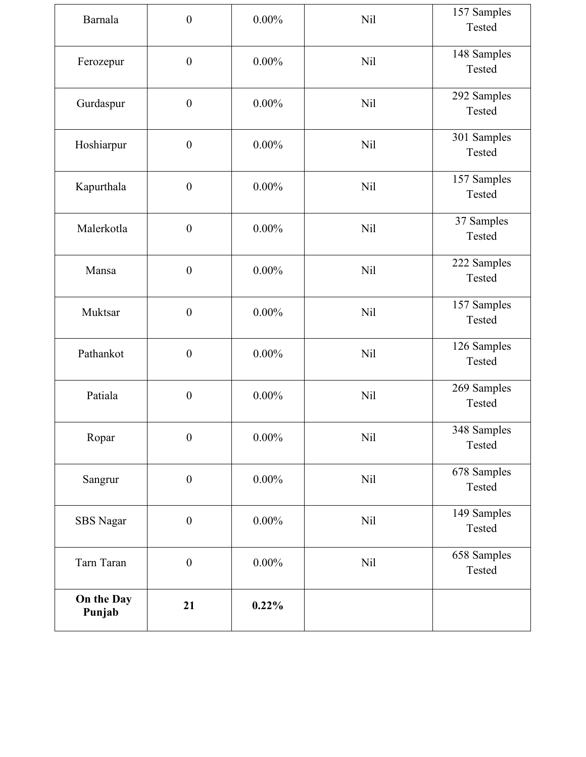| Barnala              | $\boldsymbol{0}$ | $0.00\%$ | Nil        | 157 Samples<br>Tested |
|----------------------|------------------|----------|------------|-----------------------|
| Ferozepur            | $\boldsymbol{0}$ | $0.00\%$ | <b>Nil</b> | 148 Samples<br>Tested |
| Gurdaspur            | $\boldsymbol{0}$ | $0.00\%$ | Nil        | 292 Samples<br>Tested |
| Hoshiarpur           | $\boldsymbol{0}$ | $0.00\%$ | <b>Nil</b> | 301 Samples<br>Tested |
| Kapurthala           | $\boldsymbol{0}$ | $0.00\%$ | <b>Nil</b> | 157 Samples<br>Tested |
| Malerkotla           | $\boldsymbol{0}$ | $0.00\%$ | <b>Nil</b> | 37 Samples<br>Tested  |
| Mansa                | $\boldsymbol{0}$ | $0.00\%$ | <b>Nil</b> | 222 Samples<br>Tested |
| Muktsar              | $\boldsymbol{0}$ | $0.00\%$ | Nil        | 157 Samples<br>Tested |
| Pathankot            | $\boldsymbol{0}$ | $0.00\%$ | <b>Nil</b> | 126 Samples<br>Tested |
| Patiala              | $\boldsymbol{0}$ | $0.00\%$ | <b>Nil</b> | 269 Samples<br>Tested |
| Ropar                | $\boldsymbol{0}$ | $0.00\%$ | <b>Nil</b> | 348 Samples<br>Tested |
| Sangrur              | $\boldsymbol{0}$ | $0.00\%$ | <b>Nil</b> | 678 Samples<br>Tested |
| SBS Nagar            | $\boldsymbol{0}$ | $0.00\%$ | Nil        | 149 Samples<br>Tested |
| Tarn Taran           | $\boldsymbol{0}$ | $0.00\%$ | <b>Nil</b> | 658 Samples<br>Tested |
| On the Day<br>Punjab | 21               | 0.22%    |            |                       |
|                      |                  |          |            |                       |